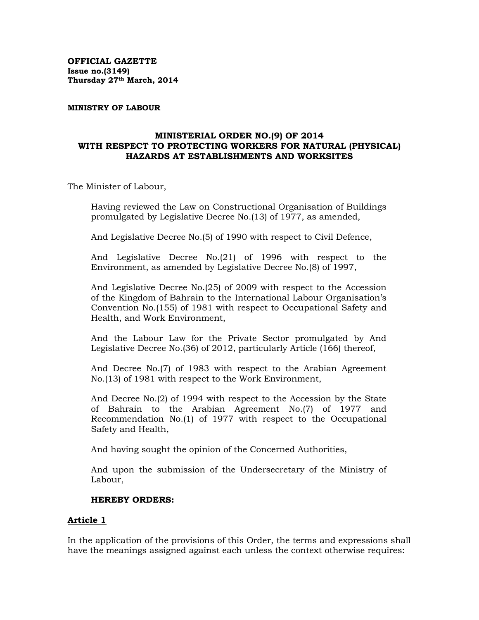**OFFICIAL GAZETTE Issue no.(3149) Thursday 27th March, 2014** 

#### **MINISTRY OF LABOUR**

#### **MINISTERIAL ORDER NO.(9) OF 2014 WITH RESPECT TO PROTECTING WORKERS FOR NATURAL (PHYSICAL) HAZARDS AT ESTABLISHMENTS AND WORKSITES**

The Minister of Labour,

Having reviewed the Law on Constructional Organisation of Buildings promulgated by Legislative Decree No.(13) of 1977, as amended,

And Legislative Decree No.(5) of 1990 with respect to Civil Defence,

And Legislative Decree No.(21) of 1996 with respect to the Environment, as amended by Legislative Decree No.(8) of 1997,

And Legislative Decree No.(25) of 2009 with respect to the Accession of the Kingdom of Bahrain to the International Labour Organisation's Convention No.(155) of 1981 with respect to Occupational Safety and Health, and Work Environment,

And the Labour Law for the Private Sector promulgated by And Legislative Decree No.(36) of 2012, particularly Article (166) thereof,

And Decree No.(7) of 1983 with respect to the Arabian Agreement No.(13) of 1981 with respect to the Work Environment,

And Decree No.(2) of 1994 with respect to the Accession by the State of Bahrain to the Arabian Agreement No.(7) of 1977 and Recommendation No.(1) of 1977 with respect to the Occupational Safety and Health,

And having sought the opinion of the Concerned Authorities,

And upon the submission of the Undersecretary of the Ministry of Labour,

#### **HEREBY ORDERS:**

#### **Article 1**

In the application of the provisions of this Order, the terms and expressions shall have the meanings assigned against each unless the context otherwise requires: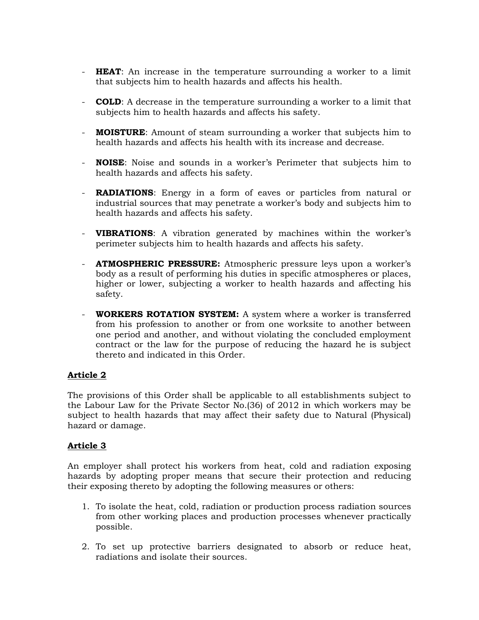- **HEAT**: An increase in the temperature surrounding a worker to a limit that subjects him to health hazards and affects his health.
- **COLD**: A decrease in the temperature surrounding a worker to a limit that subjects him to health hazards and affects his safety.
- **MOISTURE**: Amount of steam surrounding a worker that subjects him to health hazards and affects his health with its increase and decrease.
- **NOISE**: Noise and sounds in a worker's Perimeter that subjects him to health hazards and affects his safety.
- **RADIATIONS**: Energy in a form of eaves or particles from natural or industrial sources that may penetrate a worker's body and subjects him to health hazards and affects his safety.
- **VIBRATIONS**: A vibration generated by machines within the worker's perimeter subjects him to health hazards and affects his safety.
- **ATMOSPHERIC PRESSURE:** Atmospheric pressure leys upon a worker's body as a result of performing his duties in specific atmospheres or places, higher or lower, subjecting a worker to health hazards and affecting his safety.
- **WORKERS ROTATION SYSTEM:** A system where a worker is transferred from his profession to another or from one worksite to another between one period and another, and without violating the concluded employment contract or the law for the purpose of reducing the hazard he is subject thereto and indicated in this Order.

The provisions of this Order shall be applicable to all establishments subject to the Labour Law for the Private Sector No.(36) of 2012 in which workers may be subject to health hazards that may affect their safety due to Natural (Physical) hazard or damage.

# **Article 3**

An employer shall protect his workers from heat, cold and radiation exposing hazards by adopting proper means that secure their protection and reducing their exposing thereto by adopting the following measures or others:

- 1. To isolate the heat, cold, radiation or production process radiation sources from other working places and production processes whenever practically possible.
- 2. To set up protective barriers designated to absorb or reduce heat, radiations and isolate their sources.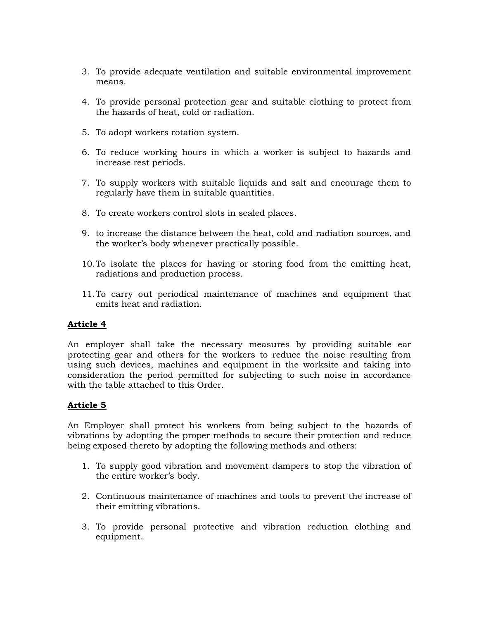- 3. To provide adequate ventilation and suitable environmental improvement means.
- 4. To provide personal protection gear and suitable clothing to protect from the hazards of heat, cold or radiation.
- 5. To adopt workers rotation system.
- 6. To reduce working hours in which a worker is subject to hazards and increase rest periods.
- 7. To supply workers with suitable liquids and salt and encourage them to regularly have them in suitable quantities.
- 8. To create workers control slots in sealed places.
- 9. to increase the distance between the heat, cold and radiation sources, and the worker's body whenever practically possible.
- 10.To isolate the places for having or storing food from the emitting heat, radiations and production process.
- 11.To carry out periodical maintenance of machines and equipment that emits heat and radiation.

An employer shall take the necessary measures by providing suitable ear protecting gear and others for the workers to reduce the noise resulting from using such devices, machines and equipment in the worksite and taking into consideration the period permitted for subjecting to such noise in accordance with the table attached to this Order.

# **Article 5**

An Employer shall protect his workers from being subject to the hazards of vibrations by adopting the proper methods to secure their protection and reduce being exposed thereto by adopting the following methods and others:

- 1. To supply good vibration and movement dampers to stop the vibration of the entire worker's body.
- 2. Continuous maintenance of machines and tools to prevent the increase of their emitting vibrations.
- 3. To provide personal protective and vibration reduction clothing and equipment.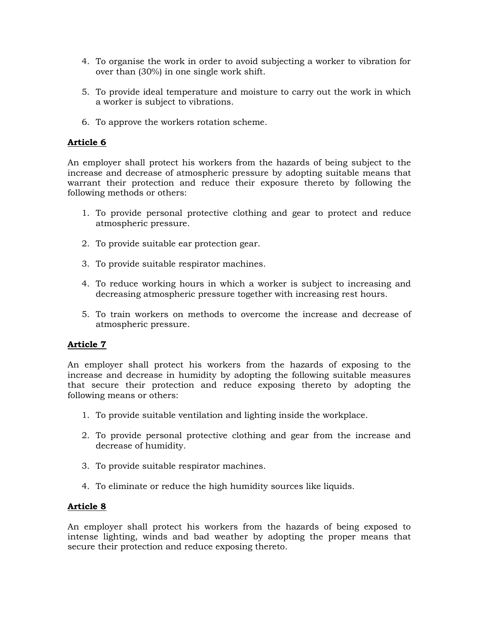- 4. To organise the work in order to avoid subjecting a worker to vibration for over than (30%) in one single work shift.
- 5. To provide ideal temperature and moisture to carry out the work in which a worker is subject to vibrations.
- 6. To approve the workers rotation scheme.

An employer shall protect his workers from the hazards of being subject to the increase and decrease of atmospheric pressure by adopting suitable means that warrant their protection and reduce their exposure thereto by following the following methods or others:

- 1. To provide personal protective clothing and gear to protect and reduce atmospheric pressure.
- 2. To provide suitable ear protection gear.
- 3. To provide suitable respirator machines.
- 4. To reduce working hours in which a worker is subject to increasing and decreasing atmospheric pressure together with increasing rest hours.
- 5. To train workers on methods to overcome the increase and decrease of atmospheric pressure.

# **Article 7**

An employer shall protect his workers from the hazards of exposing to the increase and decrease in humidity by adopting the following suitable measures that secure their protection and reduce exposing thereto by adopting the following means or others:

- 1. To provide suitable ventilation and lighting inside the workplace.
- 2. To provide personal protective clothing and gear from the increase and decrease of humidity.
- 3. To provide suitable respirator machines.
- 4. To eliminate or reduce the high humidity sources like liquids.

## **Article 8**

An employer shall protect his workers from the hazards of being exposed to intense lighting, winds and bad weather by adopting the proper means that secure their protection and reduce exposing thereto.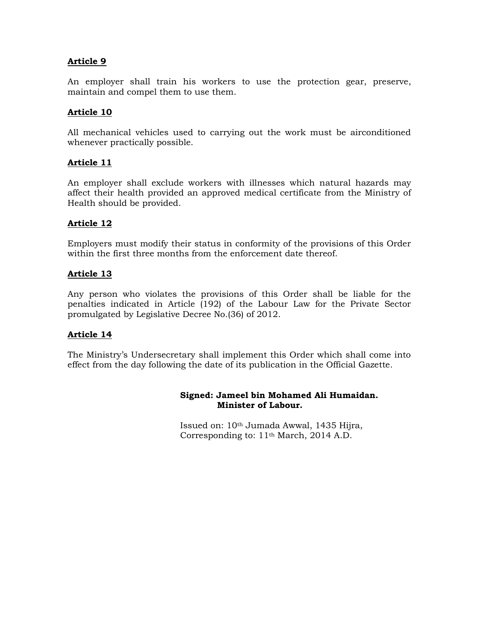An employer shall train his workers to use the protection gear, preserve, maintain and compel them to use them.

## **Article 10**

All mechanical vehicles used to carrying out the work must be airconditioned whenever practically possible.

## **Article 11**

An employer shall exclude workers with illnesses which natural hazards may affect their health provided an approved medical certificate from the Ministry of Health should be provided.

#### **Article 12**

Employers must modify their status in conformity of the provisions of this Order within the first three months from the enforcement date thereof.

#### **Article 13**

Any person who violates the provisions of this Order shall be liable for the penalties indicated in Article (192) of the Labour Law for the Private Sector promulgated by Legislative Decree No.(36) of 2012.

## **Article 14**

The Ministry's Undersecretary shall implement this Order which shall come into effect from the day following the date of its publication in the Official Gazette.

#### **Signed: Jameel bin Mohamed Ali Humaidan. Minister of Labour.**

Issued on: 10th Jumada Awwal, 1435 Hijra, Corresponding to: 11th March, 2014 A.D.